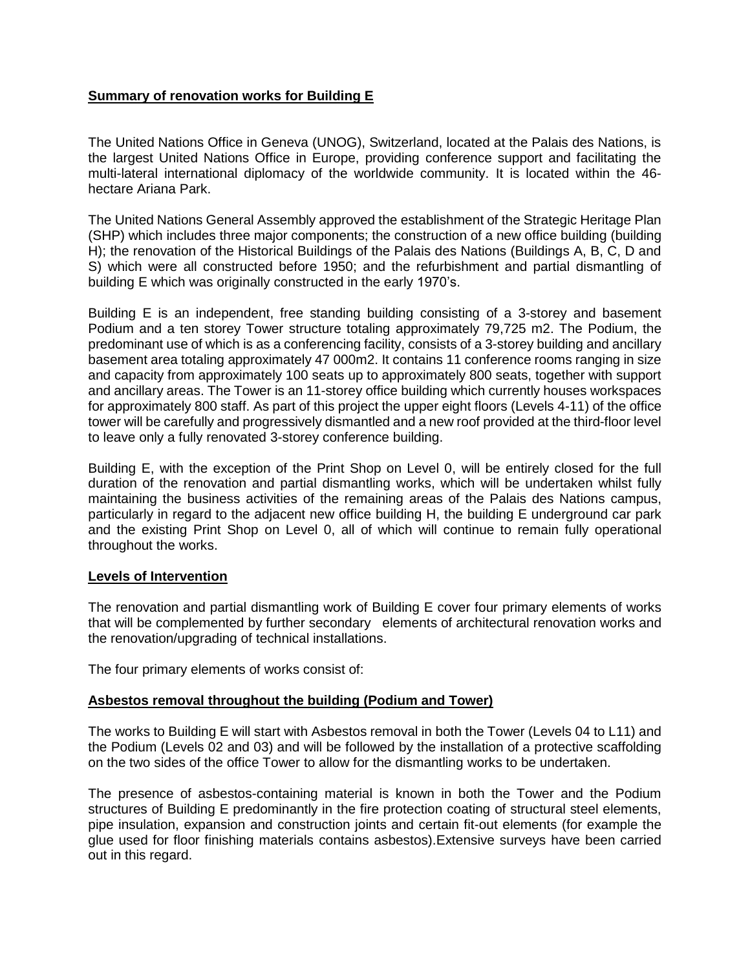## **Summary of renovation works for Building E**

The United Nations Office in Geneva (UNOG), Switzerland, located at the Palais des Nations, is the largest United Nations Office in Europe, providing conference support and facilitating the multi-lateral international diplomacy of the worldwide community. It is located within the 46 hectare Ariana Park.

The United Nations General Assembly approved the establishment of the Strategic Heritage Plan (SHP) which includes three major components; the construction of a new office building (building H); the renovation of the Historical Buildings of the Palais des Nations (Buildings A, B, C, D and S) which were all constructed before 1950; and the refurbishment and partial dismantling of building E which was originally constructed in the early 1970's.

Building E is an independent, free standing building consisting of a 3-storey and basement Podium and a ten storey Tower structure totaling approximately 79,725 m2. The Podium, the predominant use of which is as a conferencing facility, consists of a 3-storey building and ancillary basement area totaling approximately 47 000m2. It contains 11 conference rooms ranging in size and capacity from approximately 100 seats up to approximately 800 seats, together with support and ancillary areas. The Tower is an 11-storey office building which currently houses workspaces for approximately 800 staff. As part of this project the upper eight floors (Levels 4-11) of the office tower will be carefully and progressively dismantled and a new roof provided at the third-floor level to leave only a fully renovated 3-storey conference building.

Building E, with the exception of the Print Shop on Level 0, will be entirely closed for the full duration of the renovation and partial dismantling works, which will be undertaken whilst fully maintaining the business activities of the remaining areas of the Palais des Nations campus, particularly in regard to the adjacent new office building H, the building E underground car park and the existing Print Shop on Level 0, all of which will continue to remain fully operational throughout the works.

## **Levels of Intervention**

The renovation and partial dismantling work of Building E cover four primary elements of works that will be complemented by further secondary elements of architectural renovation works and the renovation/upgrading of technical installations.

The four primary elements of works consist of:

## **Asbestos removal throughout the building (Podium and Tower)**

The works to Building E will start with Asbestos removal in both the Tower (Levels 04 to L11) and the Podium (Levels 02 and 03) and will be followed by the installation of a protective scaffolding on the two sides of the office Tower to allow for the dismantling works to be undertaken.

The presence of asbestos-containing material is known in both the Tower and the Podium structures of Building E predominantly in the fire protection coating of structural steel elements, pipe insulation, expansion and construction joints and certain fit-out elements (for example the glue used for floor finishing materials contains asbestos).Extensive surveys have been carried out in this regard.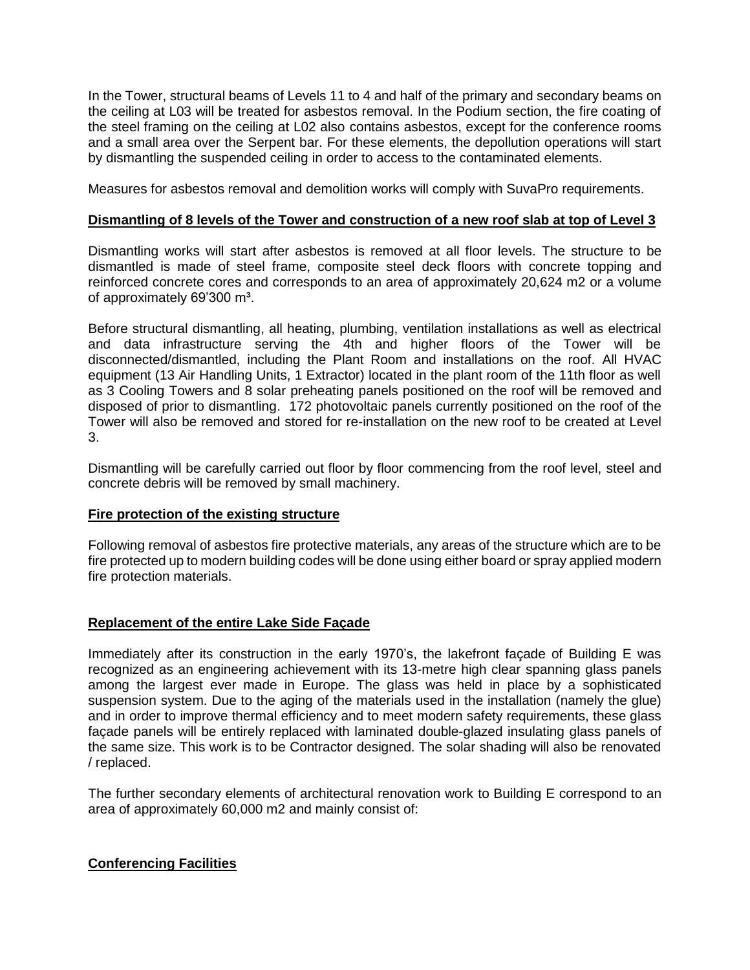In the Tower, structural beams of Levels 11 to 4 and half of the primary and secondary beams on the ceiling at L03 will be treated for asbestos removal. In the Podium section, the fire coating of the steel framing on the ceiling at L02 also contains asbestos, except for the conference rooms and a small area over the Serpent bar. For these elements, the depollution operations will start by dismantling the suspended ceiling in order to access to the contaminated elements.

Measures for asbestos removal and demolition works will comply with SuvaPro requirements.

### **Dismantling of 8 levels of the Tower and construction of a new roof slab at top of Level 3**

Dismantling works will start after asbestos is removed at all floor levels. The structure to be dismantled is made of steel frame, composite steel deck floors with concrete topping and reinforced concrete cores and corresponds to an area of approximately 20,624 m2 or a volume of approximately 69'300 m<sup>3</sup>.

Before structural dismantling, all heating, plumbing, ventilation installations as well as electrical and data infrastructure serving the 4th and higher floors of the Tower will be disconnected/dismantled, including the Plant Room and installations on the roof. All HVAC equipment (13 Air Handling Units, 1 Extractor) located in the plant room of the 11th floor as well as 3 Cooling Towers and 8 solar preheating panels positioned on the roof will be removed and disposed of prior to dismantling. 172 photovoltaic panels currently positioned on the roof of the Tower will also be removed and stored for re-installation on the new roof to be created at Level 3.

Dismantling will be carefully carried out floor by floor commencing from the roof level, steel and concrete debris will be removed by small machinery.

#### **Fire protection of the existing structure**

Following removal of asbestos fire protective materials, any areas of the structure which are to be fire protected up to modern building codes will be done using either board or spray applied modern fire protection materials.

## **Replacement of the entire Lake Side Façade**

Immediately after its construction in the early 1970's, the lakefront façade of Building E was recognized as an engineering achievement with its 13-metre high clear spanning glass panels among the largest ever made in Europe. The glass was held in place by a sophisticated suspension system. Due to the aging of the materials used in the installation (namely the glue) and in order to improve thermal efficiency and to meet modern safety requirements, these glass façade panels will be entirely replaced with laminated double-glazed insulating glass panels of the same size. This work is to be Contractor designed. The solar shading will also be renovated / replaced.

The further secondary elements of architectural renovation work to Building E correspond to an area of approximately 60,000 m2 and mainly consist of:

## **Conferencing Facilities**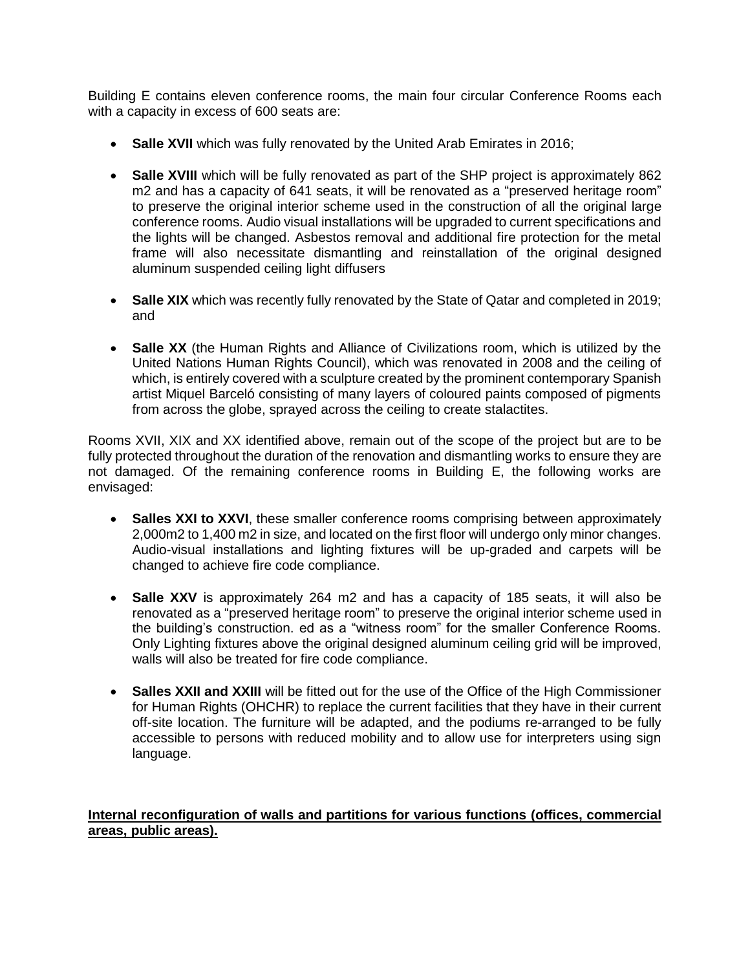Building E contains eleven conference rooms, the main four circular Conference Rooms each with a capacity in excess of 600 seats are:

- **Salle XVII** which was fully renovated by the United Arab Emirates in 2016;
- **Salle XVIII** which will be fully renovated as part of the SHP project is approximately 862 m2 and has a capacity of 641 seats, it will be renovated as a "preserved heritage room" to preserve the original interior scheme used in the construction of all the original large conference rooms. Audio visual installations will be upgraded to current specifications and the lights will be changed. Asbestos removal and additional fire protection for the metal frame will also necessitate dismantling and reinstallation of the original designed aluminum suspended ceiling light diffusers
- **Salle XIX** which was recently fully renovated by the State of Qatar and completed in 2019; and
- **Salle XX** (the Human Rights and Alliance of Civilizations room, which is utilized by the United Nations Human Rights Council), which was renovated in 2008 and the ceiling of which, is entirely covered with a sculpture created by the prominent contemporary Spanish artist Miquel Barceló consisting of many layers of coloured paints composed of pigments from across the globe, sprayed across the ceiling to create stalactites.

Rooms XVII, XIX and XX identified above, remain out of the scope of the project but are to be fully protected throughout the duration of the renovation and dismantling works to ensure they are not damaged. Of the remaining conference rooms in Building E, the following works are envisaged:

- **Salles XXI to XXVI**, these smaller conference rooms comprising between approximately 2,000m2 to 1,400 m2 in size, and located on the first floor will undergo only minor changes. Audio-visual installations and lighting fixtures will be up-graded and carpets will be changed to achieve fire code compliance.
- **Salle XXV** is approximately 264 m2 and has a capacity of 185 seats, it will also be renovated as a "preserved heritage room" to preserve the original interior scheme used in the building's construction. ed as a "witness room" for the smaller Conference Rooms. Only Lighting fixtures above the original designed aluminum ceiling grid will be improved, walls will also be treated for fire code compliance.
- **Salles XXII and XXIII** will be fitted out for the use of the Office of the High Commissioner for Human Rights (OHCHR) to replace the current facilities that they have in their current off-site location. The furniture will be adapted, and the podiums re-arranged to be fully accessible to persons with reduced mobility and to allow use for interpreters using sign language.

# **Internal reconfiguration of walls and partitions for various functions (offices, commercial areas, public areas).**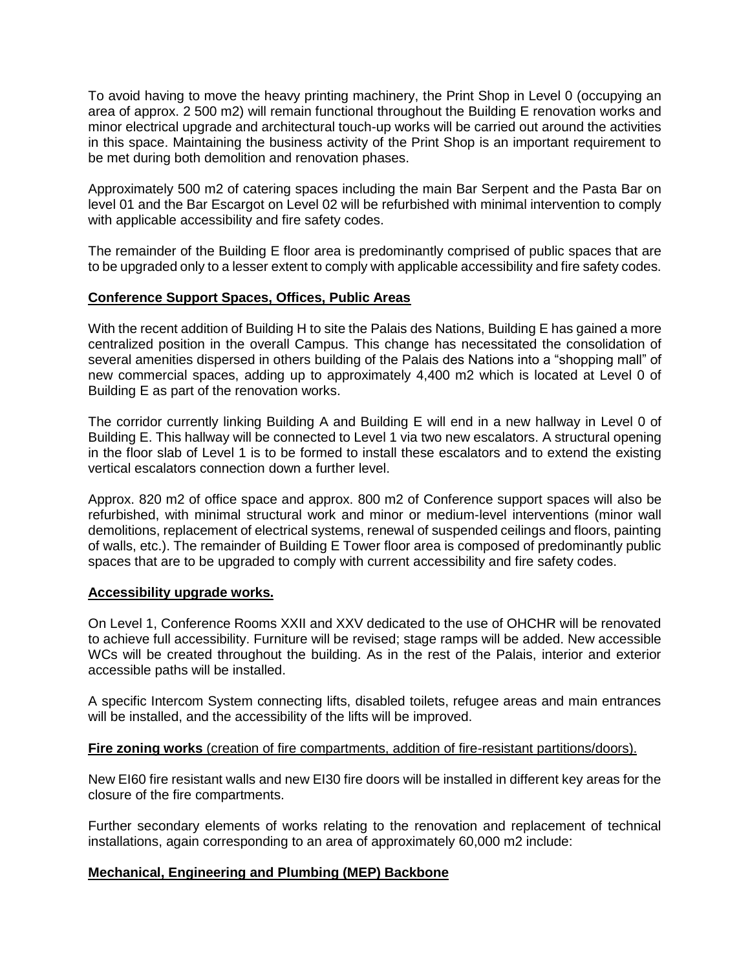To avoid having to move the heavy printing machinery, the Print Shop in Level 0 (occupying an area of approx. 2 500 m2) will remain functional throughout the Building E renovation works and minor electrical upgrade and architectural touch-up works will be carried out around the activities in this space. Maintaining the business activity of the Print Shop is an important requirement to be met during both demolition and renovation phases.

Approximately 500 m2 of catering spaces including the main Bar Serpent and the Pasta Bar on level 01 and the Bar Escargot on Level 02 will be refurbished with minimal intervention to comply with applicable accessibility and fire safety codes.

The remainder of the Building E floor area is predominantly comprised of public spaces that are to be upgraded only to a lesser extent to comply with applicable accessibility and fire safety codes.

### **Conference Support Spaces, Offices, Public Areas**

With the recent addition of Building H to site the Palais des Nations, Building E has gained a more centralized position in the overall Campus. This change has necessitated the consolidation of several amenities dispersed in others building of the Palais des Nations into a "shopping mall" of new commercial spaces, adding up to approximately 4,400 m2 which is located at Level 0 of Building E as part of the renovation works.

The corridor currently linking Building A and Building E will end in a new hallway in Level 0 of Building E. This hallway will be connected to Level 1 via two new escalators. A structural opening in the floor slab of Level 1 is to be formed to install these escalators and to extend the existing vertical escalators connection down a further level.

Approx. 820 m2 of office space and approx. 800 m2 of Conference support spaces will also be refurbished, with minimal structural work and minor or medium-level interventions (minor wall demolitions, replacement of electrical systems, renewal of suspended ceilings and floors, painting of walls, etc.). The remainder of Building E Tower floor area is composed of predominantly public spaces that are to be upgraded to comply with current accessibility and fire safety codes.

#### **Accessibility upgrade works.**

On Level 1, Conference Rooms XXII and XXV dedicated to the use of OHCHR will be renovated to achieve full accessibility. Furniture will be revised; stage ramps will be added. New accessible WCs will be created throughout the building. As in the rest of the Palais, interior and exterior accessible paths will be installed.

A specific Intercom System connecting lifts, disabled toilets, refugee areas and main entrances will be installed, and the accessibility of the lifts will be improved.

## **Fire zoning works** (creation of fire compartments, addition of fire-resistant partitions/doors).

New EI60 fire resistant walls and new EI30 fire doors will be installed in different key areas for the closure of the fire compartments.

Further secondary elements of works relating to the renovation and replacement of technical installations, again corresponding to an area of approximately 60,000 m2 include:

## **Mechanical, Engineering and Plumbing (MEP) Backbone**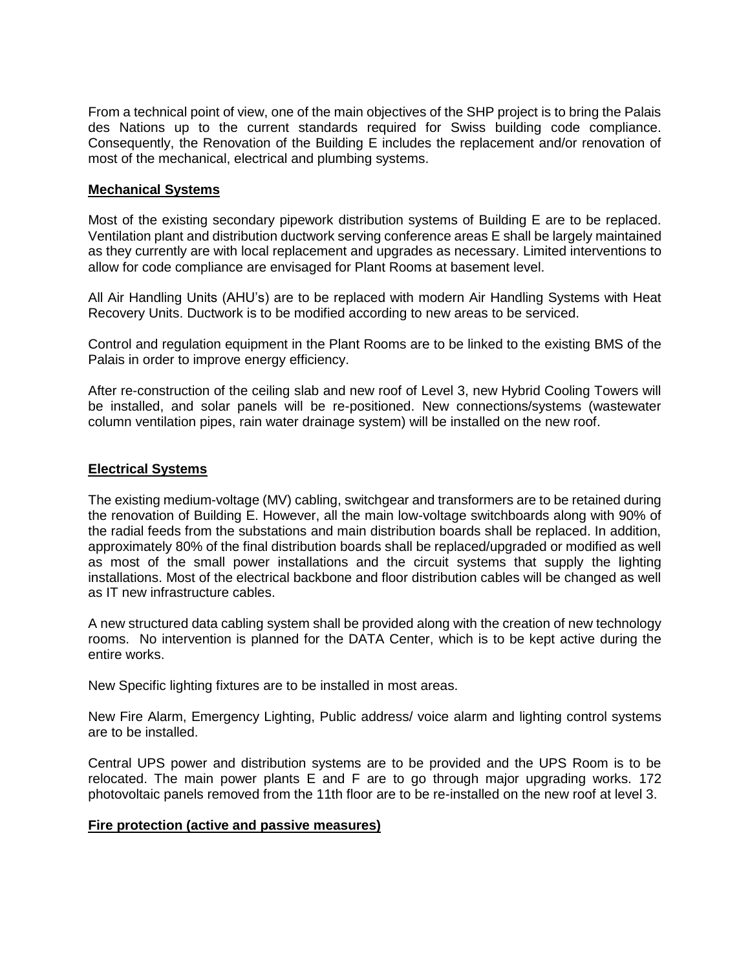From a technical point of view, one of the main objectives of the SHP project is to bring the Palais des Nations up to the current standards required for Swiss building code compliance. Consequently, the Renovation of the Building E includes the replacement and/or renovation of most of the mechanical, electrical and plumbing systems.

#### **Mechanical Systems**

Most of the existing secondary pipework distribution systems of Building E are to be replaced. Ventilation plant and distribution ductwork serving conference areas E shall be largely maintained as they currently are with local replacement and upgrades as necessary. Limited interventions to allow for code compliance are envisaged for Plant Rooms at basement level.

All Air Handling Units (AHU's) are to be replaced with modern Air Handling Systems with Heat Recovery Units. Ductwork is to be modified according to new areas to be serviced.

Control and regulation equipment in the Plant Rooms are to be linked to the existing BMS of the Palais in order to improve energy efficiency.

After re-construction of the ceiling slab and new roof of Level 3, new Hybrid Cooling Towers will be installed, and solar panels will be re-positioned. New connections/systems (wastewater column ventilation pipes, rain water drainage system) will be installed on the new roof.

### **Electrical Systems**

The existing medium-voltage (MV) cabling, switchgear and transformers are to be retained during the renovation of Building E. However, all the main low-voltage switchboards along with 90% of the radial feeds from the substations and main distribution boards shall be replaced. In addition, approximately 80% of the final distribution boards shall be replaced/upgraded or modified as well as most of the small power installations and the circuit systems that supply the lighting installations. Most of the electrical backbone and floor distribution cables will be changed as well as IT new infrastructure cables.

A new structured data cabling system shall be provided along with the creation of new technology rooms. No intervention is planned for the DATA Center, which is to be kept active during the entire works.

New Specific lighting fixtures are to be installed in most areas.

New Fire Alarm, Emergency Lighting, Public address/ voice alarm and lighting control systems are to be installed.

Central UPS power and distribution systems are to be provided and the UPS Room is to be relocated. The main power plants E and F are to go through major upgrading works. 172 photovoltaic panels removed from the 11th floor are to be re-installed on the new roof at level 3.

#### **Fire protection (active and passive measures)**